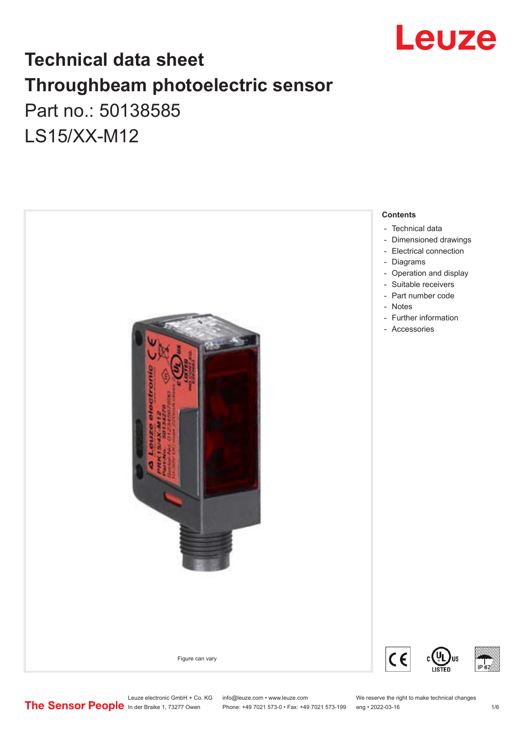

## **Technical data sheet Throughbeam photoelectric sensor**  Part no.: 50138585 LS15/XX-M12



Leuze electronic GmbH + Co. KG info@leuze.com • www.leuze.com We reserve the right to make technical changes<br>
The Sensor People in der Braike 1, 73277 Owen Phone: +49 7021 573-0 • Fax: +49 7021 573-199 eng • 2022-03-16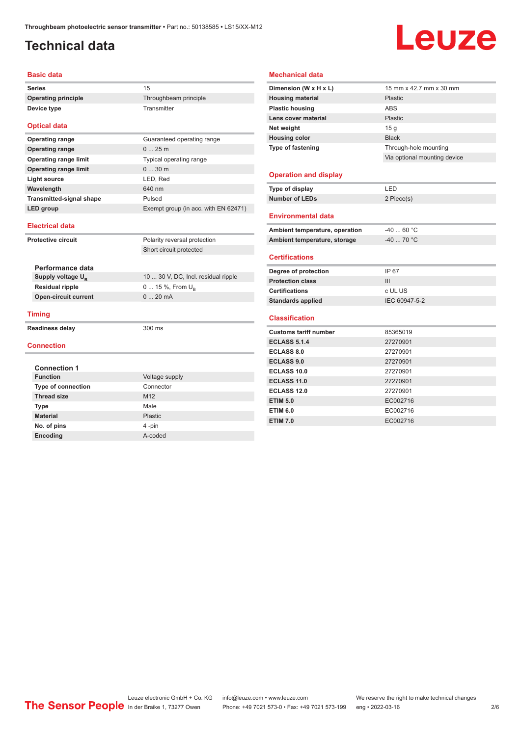#### <span id="page-1-0"></span>**Technical data**

# Leuze

#### **Basic data**

Series 15 **Operating principle** Throughbeam principle **Device type** Transmitter

#### **Optical data**

| <b>Operating range</b>          | Guaranteed operating range           |
|---------------------------------|--------------------------------------|
| <b>Operating range</b>          | 025m                                 |
| <b>Operating range limit</b>    | Typical operating range              |
| <b>Operating range limit</b>    | 030m                                 |
| Light source                    | LED, Red                             |
| Wavelength                      | 640 nm                               |
| <b>Transmitted-signal shape</b> | Pulsed                               |
| LED group                       | Exempt group (in acc. with EN 62471) |

#### **Electrical data**

| <b>Protective circuit</b> |                               | Polarity reversal protection        |
|---------------------------|-------------------------------|-------------------------------------|
|                           |                               | Short circuit protected             |
|                           |                               |                                     |
|                           | Performance data              |                                     |
|                           | Supply voltage U <sub>B</sub> | 10  30 V, DC, Incl. residual ripple |
|                           | <b>Residual ripple</b>        | 0  15 %, From $U_{\rm B}$           |
|                           | <b>Open-circuit current</b>   | $020$ mA                            |
|                           |                               |                                     |
|                           | Timing                        |                                     |
|                           | Readiness delay               | $300 \text{ ms}$                    |
|                           |                               |                                     |
|                           | <b>Connection</b>             |                                     |
|                           |                               |                                     |
|                           | <b>Connection 1</b>           |                                     |
|                           | <b>Function</b>               | Voltage supply                      |
| <b>Type of connection</b> |                               | Connector                           |
|                           | <b>Thread size</b>            | M <sub>12</sub>                     |
|                           | <b>Type</b>                   | Male                                |
|                           | <b>Material</b>               | Plastic                             |

**No. of pins** 4 -pin **Encoding** A-coded

#### **Mechanical data**

| Dimension (W x H x L)          | 15 mm x 42.7 mm x 30 mm      |
|--------------------------------|------------------------------|
| <b>Housing material</b>        | <b>Plastic</b>               |
| <b>Plastic housing</b>         | <b>ABS</b>                   |
| Lens cover material            | Plastic                      |
| Net weight                     | 15 <sub>q</sub>              |
| <b>Housing color</b>           | <b>Black</b>                 |
| Type of fastening              | Through-hole mounting        |
|                                | Via optional mounting device |
|                                |                              |
| <b>Operation and display</b>   |                              |
| Type of display                | LED                          |
| <b>Number of LEDs</b>          | 2 Piece(s)                   |
|                                |                              |
| <b>Environmental data</b>      |                              |
| Ambient temperature, operation | $-4060 °C$                   |
| Ambient temperature, storage   | $-4070 °C$                   |
| <b>Certifications</b>          |                              |
| Degree of protection           | IP 67                        |
| <b>Protection class</b>        | III                          |
| <b>Certifications</b>          | c UL US                      |
| <b>Standards applied</b>       | IEC 60947-5-2                |
|                                |                              |
| <b>Classification</b>          |                              |
| <b>Customs tariff number</b>   | 85365019                     |
| <b>ECLASS 5.1.4</b>            | 27270901                     |
| <b>ECLASS 8.0</b>              | 27270901                     |
| <b>ECLASS 9.0</b>              | 27270901                     |
| ECLASS 10.0                    | 27270901                     |
| <b>ECLASS 11.0</b>             | 27270901                     |
| <b>ECLASS 12.0</b>             | 27270901                     |
| <b>ETIM 5.0</b>                | EC002716                     |
| <b>ETIM 6.0</b>                | EC002716                     |
| <b>ETIM 7.0</b>                | EC002716                     |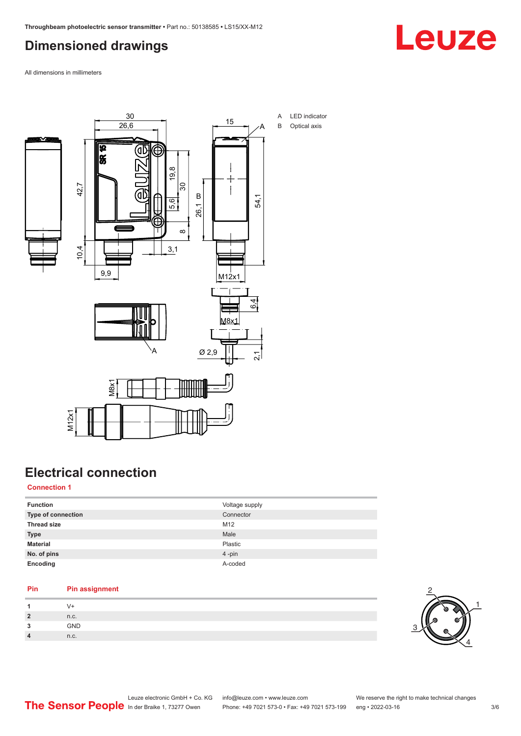### <span id="page-2-0"></span>**Dimensioned drawings**



All dimensions in millimeters



## **Electrical connection**

#### **Connection 1**

| <b>Function</b>           | Voltage supply |
|---------------------------|----------------|
| <b>Type of connection</b> | Connector      |
| <b>Thread size</b>        | M12            |
| <b>Type</b>               | Male           |
| <b>Material</b>           | Plastic        |
| No. of pins               | 4-pin          |
| Encoding                  | A-coded        |

#### **Pin Pin assignment**

|   | V+         |  |
|---|------------|--|
|   | n.c.       |  |
| - | <b>GND</b> |  |
|   | n.c.       |  |

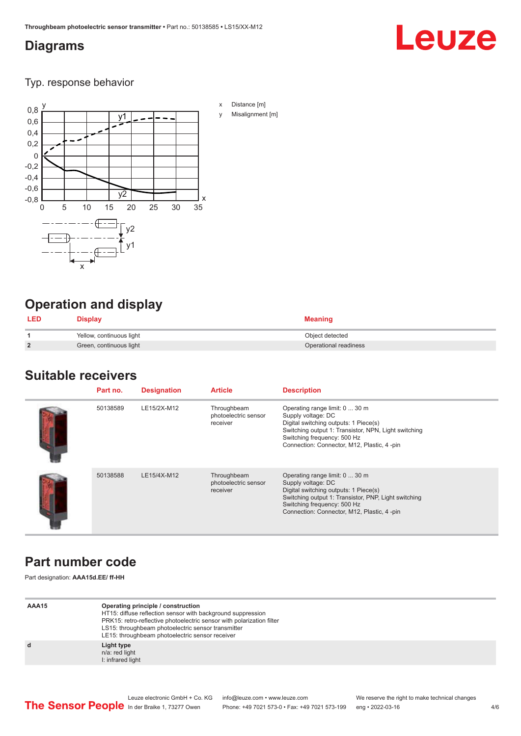#### <span id="page-3-0"></span>**Diagrams**

## Leuze

Typ. response behavior



## **Operation and display**

| <b>LED</b>     | <b>Display</b>           | <b>Meaning</b>        |
|----------------|--------------------------|-----------------------|
|                | Yellow, continuous light | Object detected       |
| $\overline{2}$ | Green, continuous light  | Operational readiness |

#### **Suitable receivers**

| Part no. | <b>Designation</b> | <b>Article</b>                                  | <b>Description</b>                                                                                                                                                                                                                  |
|----------|--------------------|-------------------------------------------------|-------------------------------------------------------------------------------------------------------------------------------------------------------------------------------------------------------------------------------------|
| 50138589 | LE15/2X-M12        | Throughbeam<br>photoelectric sensor<br>receiver | Operating range limit: 0  30 m<br>Supply voltage: DC<br>Digital switching outputs: 1 Piece(s)<br>Switching output 1: Transistor, NPN, Light switching<br>Switching frequency: 500 Hz<br>Connection: Connector, M12, Plastic, 4 -pin |
| 50138588 | LE15/4X-M12        | Throughbeam<br>photoelectric sensor<br>receiver | Operating range limit: 0  30 m<br>Supply voltage: DC<br>Digital switching outputs: 1 Piece(s)<br>Switching output 1: Transistor, PNP, Light switching<br>Switching frequency: 500 Hz<br>Connection: Connector, M12, Plastic, 4-pin  |

## **Part number code**

Part designation: **AAA15d.EE/ ff-HH**

| AAA15 | Operating principle / construction<br>HT15: diffuse reflection sensor with background suppression<br>PRK15: retro-reflective photoelectric sensor with polarization filter<br>LS15: throughbeam photoelectric sensor transmitter<br>LE15: throughbeam photoelectric sensor receiver |
|-------|-------------------------------------------------------------------------------------------------------------------------------------------------------------------------------------------------------------------------------------------------------------------------------------|
| d     | Light type<br>n/a: red light<br>I: infrared light                                                                                                                                                                                                                                   |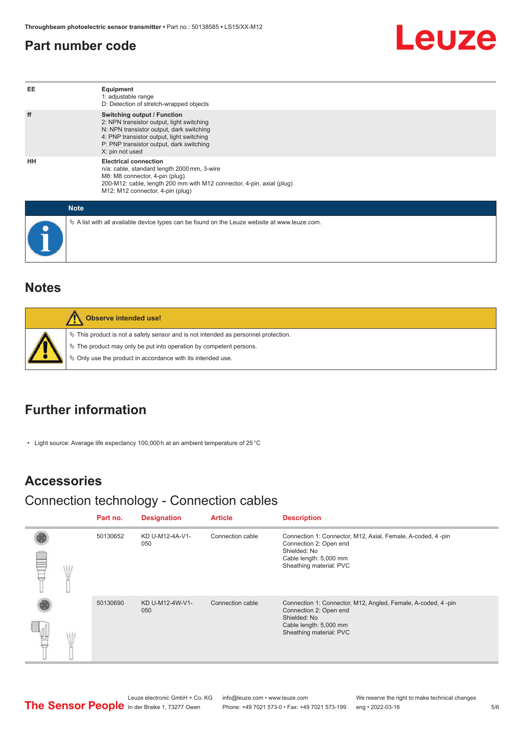#### <span id="page-4-0"></span>**Part number code**



| EE | Equipment<br>1: adjustable range<br>D: Detection of stretch-wrapped objects                                                                                                                                                             |  |  |  |
|----|-----------------------------------------------------------------------------------------------------------------------------------------------------------------------------------------------------------------------------------------|--|--|--|
| ff | <b>Switching output / Function</b><br>2: NPN transistor output, light switching<br>N: NPN transistor output, dark switching<br>4: PNP transistor output, light switching<br>P: PNP transistor output, dark switching<br>X: pin not used |  |  |  |
| HH | <b>Electrical connection</b><br>n/a: cable, standard length 2000 mm, 3-wire<br>M8: M8 connector, 4-pin (plug)<br>200-M12: cable, length 200 mm with M12 connector, 4-pin, axial (plug)<br>M12: M12 connector, 4-pin (plug)              |  |  |  |
|    | <b>Note</b>                                                                                                                                                                                                                             |  |  |  |
|    | $\&$ A list with all available device types can be found on the Leuze website at www.leuze.com.                                                                                                                                         |  |  |  |

#### **Notes**

| <b>Observe intended use!</b>                                                                                                                                                                                                     |
|----------------------------------------------------------------------------------------------------------------------------------------------------------------------------------------------------------------------------------|
| $\%$ This product is not a safety sensor and is not intended as personnel protection.<br>$\&$ The product may only be put into operation by competent persons.<br>$\%$ Only use the product in accordance with its intended use. |

### **Further information**

• Light source: Average life expectancy 100,000 h at an ambient temperature of 25 °C

#### **Accessories**

#### Connection technology - Connection cables

|  | Part no. | <b>Designation</b>     | <b>Article</b>   | <b>Description</b>                                                                                                                                          |
|--|----------|------------------------|------------------|-------------------------------------------------------------------------------------------------------------------------------------------------------------|
|  | 50130652 | KD U-M12-4A-V1-<br>050 | Connection cable | Connection 1: Connector, M12, Axial, Female, A-coded, 4-pin<br>Connection 2: Open end<br>Shielded: No<br>Cable length: 5,000 mm<br>Sheathing material: PVC  |
|  | 50130690 | KD U-M12-4W-V1-<br>050 | Connection cable | Connection 1: Connector, M12, Angled, Female, A-coded, 4-pin<br>Connection 2: Open end<br>Shielded: No<br>Cable length: 5,000 mm<br>Sheathing material: PVC |